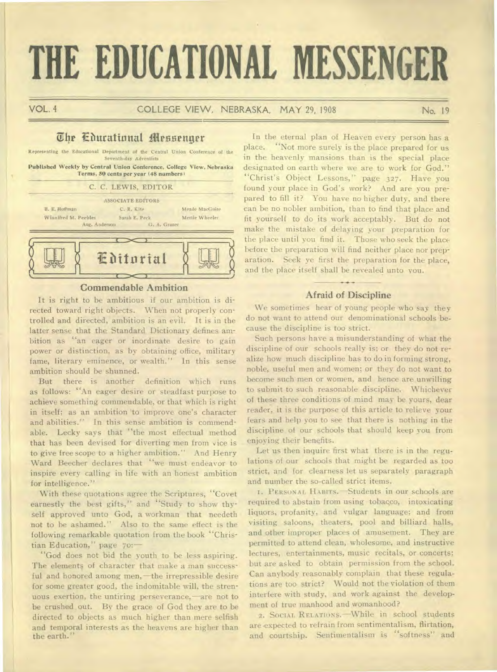# **THE EDUCATIONAL MESSENGER**

VOL. 4 COLLEGE VIEW, NEBRASKA, MAY 29, 1908 No. 19

## The Cdurational Messenger

Representing the Educational Department of the Central Union Conference of the Seventh-day Adventists

**Published Weekly by Central Union Conference, College View, Nebraska Terms, 50 cents per year (48 numbers )** 





#### **Commendable Ambition**

It is right to be ambitious if our ambition is directed toward right objects. When not properly controlled and directed, ambition is an evil. It is in the latter sense that the Standard Dictionary defines ambition as "an eager or inordinate desire to gain power or distinction, as by obtaining office, military fame, literary eminence, or wealth." In this sense ambition should be shunned.

But there is another definition which runs as follows: "An eager desire or steadfast purpose to achieve something commendable, or that which is right in itself; as an ambition 'to improve one's character and abilities." In this sense ambition is commendable. Lecky says that "the most effectual method that has been devised for diverting men from vice is to give free scope to a higher ambition." And Henry Ward Beecher declares that "we must endeavor to inspire every calling in life with an honest ambition for intelligence."

With these quotations agree the Scriptures, "Covet earnestly the best gifts," and "Study to show thyself approved unto God, a workman that needeth not to be ashamed." Also to the same effect is the following remarkable quotation from the book "Christian Education," page 70:—

"God does not bid the youth to be less aspiring. The elements of character that make a man successful and honored among men,—the irrepressible desire for some greater good, the indomitable will, the strenuous exertion, the untiring perseverance,—are not to be crushed out. By the grace of God they are to be directed to objects as much higher than mere selfish and temporal interests as the heavens are higher than the earth."

In the eternal plan of Heaven every person has a place. "Not more surely is the place prepared for us in the heavenly mansions than is the special place designated on earth where we are to work for God." "Christ's Object. Lessons," page 327. Have you found your place in God's work? And are you prepared to fill it? You have no higher duty, and there can be no nobler ambition, than to find that place and fit yourself to do its work acceptably. But do not make the mistake of delaying your preparation for the place until you find it. Those who seek the place before the preparation will find neither place nor preparation. Seek ye first the preparation for the place, and the place itself shall be revealed unto you.

### **Afraid of Discipline**

We sometimes hear of young people who say they do not want to attend our denominational schools because the discipline is too strict.

Such persons have a misunderstanding of what the discipline of our schools really is; or they do not realize how much discipline has to do in forming strong, noble, useful men and women; or they do not want to become such men or women, and hence are unwilling to submit to such reasonable discipline. Whichever of these three conditions of mind may be yours, dear reader, it is the purpose of this article to relieve your fears and help you to see that there is nothing in the discipline of our schools that should keep you from enjoying their benefits.

Let us then inquire first what there is in the regulations of our schools that might be regarded as too strict, and for clearness let us separately paragraph and number the so-called strict items.

I. PERSONAL HABITS.—Students in our schools are required to abstain from using tobacco, intoxicating liquors, profanity, and vulgar language; and from visiting saloons, theaters, pool and billiard halls, and other improper places of amusement. They are permitted to attend clean, wholesome, and instructive lectures, entertainments, music recitals, or concerts; but are asked to obtain permission from the school. Can anybody reasonably complain that these regulations are too strict? Would not the violation of them interfere with study, and work against the development of true manhood and womanhood?

2. SOCIAL RELATIONS.—While in school students are expected to refrain from sentimentalism, flirtation, and courtship. Sentimentalism is "softness" and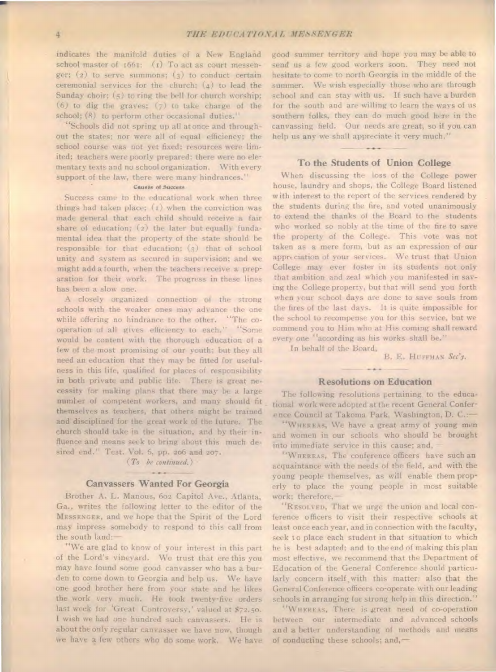indicates the manifold duties of a New England school master of 1661: (1) To act as court messenger;  $(2)$  to serve summons;  $(3)$  to conduct certain ceremonial services for the church;  $(4)$  to lead the Sunday choir; (5) to ring the bell for church worship; (6) to dig the graves; (7) to take charge of the school; (8) to perform other occasional duties."

"Schools did not spring up all at once and throughout the states; nor were all of equal efficiency; the school course was not yet fixed; resources were limited; teachers were poorly prepared; there were no elementary texts and no school organization. With every support of the law, there were many hindrances."

#### Causes of *Success*

Success came to the educational work when three things had taken place; (r) when the conviction was made general that each child should receive a fair share of education; (2) the later but equally fundamental idea that the property of the state should be responsible for that education; (3) that of school unity and system as secured in supervision; and we might add a fourth, when the teachers receive a preparation for their work. The progress in these lines has been a slow one.

A closely organized connection of the strong schools with the weaker ones may advance the one while offering no hindrance to the other. "The cooperation of all gives efficiency to each." "Some would be content with the thorough education of a few of the most promising of our youth; but they all need an education that they may be fitted for usefulness in this life, qualified for places of responsibility in both private and public life. There is great necessity for making plans that there may be a large number of competent workers, and many should fit themselves as teachers, that others might be trained and disciplined for the great work of the future. The church should take in the situation, and by their influence and means seek to bring about this much desired end." Test. Vol. 6, pp. 206 and 207.

#### *(To be continued.)*   $-0.000$

#### **Canvassers Wanted For Georgia**

Brother A. L. Manous, 602 Capitol Ave., Atlanta, Ga., writes the following letter to the editor of the MESSENGER, and we hope that the Spirit of the Lord may impress somebody to respond to this call from the south land:—

"We are glad to know of your interest in this part of the Lord's vineyard. We trust that ere this you may have found some good canvasser who has a burden to come down to Georgia and help us. We have one good brother here from your state and he likes the work very much. He took twenty-five orders last week for 'Great Controversy,' valued at \$72.50. I wish we had one hundred such canvassers. He is about the only regular canvasser we have now, though we have a few others who do some work, We have good summer territory and hope you may be able to send us a few good workers soon. They need not hesitate to come to north Georgia in the middle of the summer. We wish especially those who are through school and can stay with us. If such have a burden for the south and are willing to learn the ways of us southern folks, they can do much good here in the canvassing field. Our needs are great, so if you can help us any we shall appreciate it very much."

#### **To the Students of Union College**

When discussing the loss of the College power house, laundry and shops, the College Board listened with interest to the report of the services rendered by the students during the fire, and voted unanimously to extend the thanks of the Board to the students who worked so nobly at the time of the fire to save the property of the College. This vote was not taken as a mere form, but as an expression of our appreciation of your services. We trust that Union College may ever foster in its students not only that ambition and zeal which you manifested in saving the College property, but that will send you forth when your school days are done to save souls from the fires of the last days. It is quite impossible for the school to recompense you for this service, but we commend you to Him who at His coming shall reward every one "according as his works shall be." In behalf of the Board,

B. E. HUFFMAN Sec'y.

#### **Resolutions on Education**

The following resolutions pertaining to the educa tional work were adopted at the recent General Conference Council at Takoma Park, Washington, D. C.:—

"WHEREAS, We have a great army of young men and women in our schools who should he brought into immediate service in this cause; and,—

"WHEREAS, The conference officers have such an acquaintance with the needs of the field, and with the young people themselves, as will enable them properly to place the young people in most suitable work; therefore,—

"RESOLVED, That we urge the union and local conference officers to visit their respective schools at least once each year, and in connection with the faculty, seek to place each student in that situation to which he is best adapted; and to the end of making this plan most effective, we recommend that the Department of Education of the General Conference should particularly concern itself with this matter; also that the General Conference officers co-operate with our leading schools in arranging for strong help in this direction."

"WHEREAS, There is great need of co-operation between our intermediate and advanced schools and a better understanding of methods and means of conducting these schools; and,—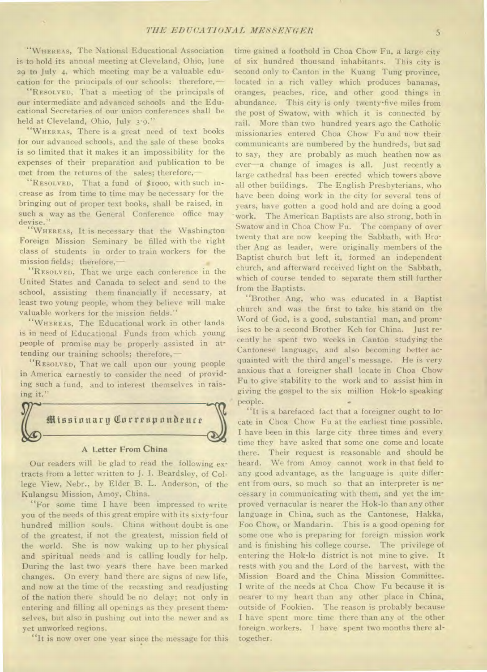"WHEREAS, The National Educational Association is to hold its annual meeting at Cleveland, Ohio, June 29 to July 4, which meeting may be a valuable education for the principals of our schools: therefore,

"RESOLVED, That a meeting of the principals of our intermediate and advanced schools and the Educational Secretaries of our union conferences shall be held at Cleveland, Ohio, July 3-9."

"WHEREAS, There is a great need of text books for our advanced schools, and the sale of these books is so limited that it makes it an impossibility for the expenses of their preparation and publication to be met from the returns of the sales; therefore,—

"RESOLVED, That a fund of \$1000, with such increase as from time to time may be necessary for the bringing out of proper text books, shall be raised, in such a way as the General Conference office may devise."

"WHEREAS, It is necessary that the Washington Foreign Mission Seminary be filled with the right class of students in order to train workers for the mission fields; therefore,

"RESOLVED, That we urge each conference in the United States and Canada to select and send to the school, assisting them financially if necessary, at least two young people, whom they believe will make valuable workers for the mission fields."

"WHEREAS, The Educational work in other lands is in need of Educational Funds from which young people of promise may be properly assisted in attending our training schools; therefore,—

"RESOLVED, That we call upon our young people in America earnestly to consider the need of providing such a fund, and to interest themselves in raising it."



#### A Letter From China

Our readers will be glad to read the following extracts from a letter written to J. I. Beardsley, of College View, Nebr., by Elder B. L. Anderson, of the Kulangsu Mission, Amoy, China.

"For some time I have been impressed to write you of the needs of this great empire with its sixty-four hundred million souls. China without doubt is one of the greatest, if not the greatest, mission field of the world. She is now waking up to her physical and spiritual needs and is calling loudly for help. During the last two years there have been marked changes. On every hand there are signs of new life, and now at the time of the recasting and readjusting of the nation there should be no delay; not only in entering and filling all openings as they present themselves, but also in pushing out into the newer and as yet unworked regions.

"It is now over one year since the message for this

time gained a foothold in Choa Chow Fu, a large city of six hundred thousand inhabitants. This city is second only to Canton in the Kuang Tung province, located in a rich valley which produces bananas, oranges, peaches, rice, and other good things in abundance. This city is only twenty-five miles from the post of Swatow, with which it is connected by rail. More than two hundred years ago the Catholic missionaries entered Choa Chow Fu and now their communicants are numbered by the hundreds, but sad to say, they are probably as much heathen now as ever—a change of images is all. Just recently a large cathedral has been erected which towers above all other buildings. The English Presbyterians, who have been doing work in the city for several tens of years, have gotten a good hold and are doing a good work. The American Baptists are also strong, both in Swatow and in Choa Chow Fu. The company of over twenty that are now keeping the Sabbath, with Brother Ang as leader, were originally members of the Baptist church but left it, formed an independent church, and afterward received light on the Sabbath, which of course tended to separate them still further from the Baptists.

"Brother Ang, who was educated in a Baptist church and was the first to take his stand on the Word of God, is a good, substantial man, and promises to be a second Brother Keh for China. Just recently he spent two weeks in Canton studying the Cantonese language, and also becoming better acquainted with the third angel's message. He is very anxious that a foreigner shall locate in Choa Chow Fu to give stability to the work and to assist him in giving the gospel to the six million Hok-lo speaking people.

"It is a barefaced fact that a foreigner ought to locate in Choa Chow Fu at the earliest time possible. I have been in this large city three times and every time they have asked that some one come and locate there. Their request is reasonable and should be heard. We from Amoy cannot work in that field to any good advantage, as the language is quite different from ours, so much so that an interpreter is necessary in communicating with them, and yet the improved vernacular is nearer the Hok-lo than any other language in China, such as the Cantonese, Hakka, Foo Chow, or Mandarin. This is a good opening for some one who is preparing for foreign mission work and is finishing his college course. The privilege of entering the Hok-lo district is not mine to give. It rests with you and the Lord of the harvest, with the Mission Board and the China Mission Committee. I write of the needs at Choa Chow Fu because it is nearer to my heart than any other place in China, outside of Fookien. The reason is probably because I have spent more time there than any of the other foreign .workers. I have spent two months there altogether.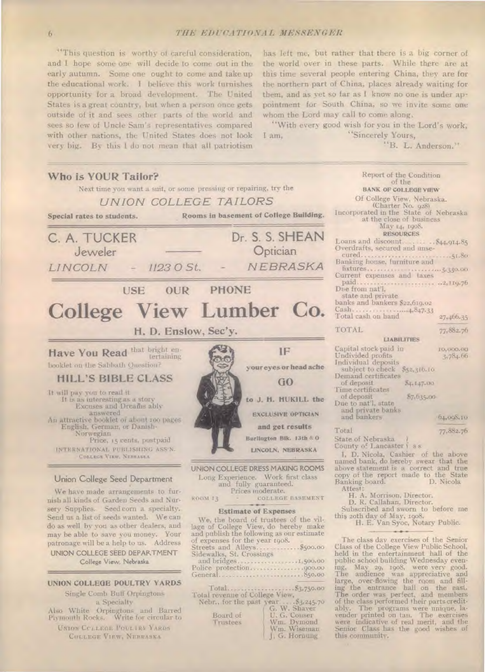"This question is worthy of careful consideration, and I hope some one will decide to come out in the early autumn. Some one ought to come and take up the educational work. I believe this work furnishes opportunity for a broad development. The United States is a great country, but when a person once gets outside of it and sees other parts of the world and sees so few of Uncle Sam's representatives compared with other nations, the United States does not look very big. By this I do not mean that all patriotism

has left me, but rather that there is a big corner of the world over in these parts. While there are at this time several people entering China, they are for the northern part of China, places already waiting for them, and as yet so far as I know no one is under appointment for South China, so we invite some one whom the Lord may call to come along.

"With every good wish for you in the Lord's work, I am, "Sincerely Yours,

"B. L. Anderson."



UNION CC LLEGE POULTRY YARDS COLLEGE VIEW, NEBRASKA

Board of U. G. Conser<br>
Trustees Mm. Dymond<br>
Wm. Wiseman J. G. Hornung

ably. The programs were unique, la-vender printed on tan. The exercises were indicative of real merit, and the Senior Class has the good wishes of this community.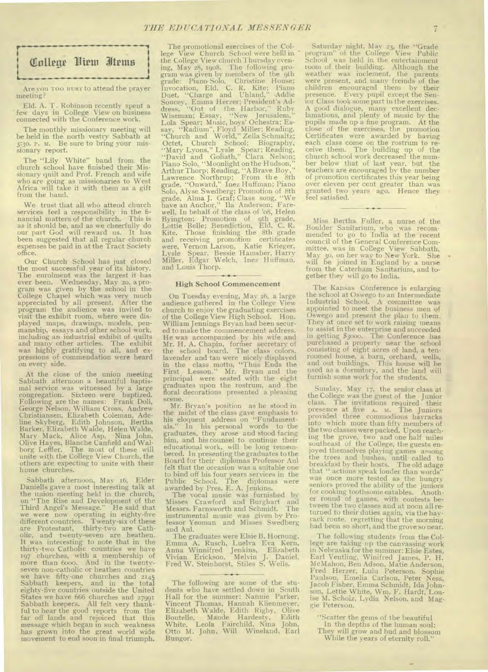

•••••••••••••••••••

Are you TOO BUSY to attend the prayer meeting?

Eld. A. T. Robinson recently spent a few days in College View on business connected with the Conference work.

The monthly missionary meeting will be held in the north vestry Sabbath at 3:3o. P. M. Be sure to bring your missionary report.

The "Lily White" band from the church school have finished their Missionary quilt and Prof. French and wife who are going as missionaries to West Africa will take it with them as a gift from the band.

We trust that all who attend church services feel a responsibility in the financial matters of the church. This is as it should be, and as we cheerfully do our part God will reward us. It has been suggested that all regular church expenses be paid in at the Tract Society office.

Our Church School has just closed the most successful year of its history. The enrolment was the largest **it** has ever been. Wednesday, May 2o, a program was given by the school in the College Chapel which was very much appreciated by all present. After the program the audience was invited to visit the exhibit room, where were displayed maps, drawings, models, pen-manship, essays and other school work, including an industrial exhibit of quilts and many other articles. The exhibit was highly gratifying to all, and ex-pressions of commendation were heard on every side.

At the close of the union meeting Sabbath afternoon a beautiful baptismal service was witnessed by a large congregation. Sixteen were baptized. Following are the names: Frank Doll, George Nelson, William Cross, Andrew Christiansen, Elizabeth Coleman, Adeline Skyberg, Edith Johnson, Bertha Barker, Elizabeth Walde, Helen Walde, Mary Mack, Alice Asp, Nina John, Olive Hayes, Blanche Canfield and Walborg Leffler. The most of these will unite with the College View Church, the others are expecting to unite with their home churches.

Sabbath afternoon, May 16, Elder Daniells gave a most interesting talk at the union meeting held in the church, on "The Rise and Development of the Third Angel's Message." He said that we were now operating in eighty-five different countries. Twenty-six of these are Protestant, thirty-two are Catholic, and twenty-seven are heathen. It was interesting to note that in the thirty -two Catholic countries we have 197 churches, with a membership of more than 6000. And in the twentyseven non-catholic or heathen countries we have fifty-one churches and 2145 Sabbath keepers, and in the total eighty-five countries outside the United States we have 666 churches and 27991 Sabbath keepers. All felt very thankful to hear the good reports from the far off lands and rejoiced that this message which began in such weakness has grown into the great world wide movement to end soon in final triumph.

The promotional exercises of the College View Church School were held in the College View church Thursday evening, May 28, 19o8. The following pro-gram was given by members of the 9th grade: Piano Solo, Christine House; Invocation, Eld. C. R. Kite; Piano Duet, "Charge and Uhland," Addie<br>Soucey, Emma Herzer; President's Ad-<br>dress, "Out of the Harbor," Ruby<br>Wiseman; Essay, "New Jerusalem,"<br>Lola Spear; Music, boys' Ochestra; Es-<br>say, "Radium", Floyd Miller; Reading,<br>"Church a Octet, Church School; Biography, "Mary Lyons," Lysle Spear; Reading, "David and Goliath," Clara Nelson; Piano Solo, "Moonlight on the Hudson," Arthur Thorp; Reading, "A Brave Boy ," Lawrence Northrup; From the 8th grade, "Onward," Inez Huffman; Piano Solo, Alyse Swedberg; Promotion of 8th grade, Alma J. Graf; Class song, "We have an Anchor," **Ila** Anderson; Farewell, In behalf of the class of 'o8, Helen Byington; Promotion of 9th grade, Lottie Belle; Benediction, Eld. C. R. Kite. Those finishing the 8th grade and receiving promotion certificates were, Vernon Larson, Katie Krieger, Lysle Spear, Bessie Hamsher, Harry Miller, Edgar Welch, Inez Huffman, and Louis Thorp.

#### **High School Commencement**

On Tuesday evening, May 26, a large audience gathered in the College View church to enjoy the graduating exercises of the College View High School. Hon. William Jennings Bryan had been secured to make the commencement address. He was accompanied by his wife and Mr. H. A. Chapin, forrher secretary of the school board. The class colors, lavender and tan were nicely displayed in the class motto, "Thus Ends the First Lesson." Mr. Bryan and the principal were seated with the eight graduates upon the rostrum, and the floral decorations presented a pleasing scene.

Mr. Bryan's position as he stood in the midst of the class gave emphasis to his eloquent address on "Fundament-als." In his personal words to the graduates, they arose and stood facing him, and his counsel to continue their educational work, will be long remem-bered. In presenting the graduates to the Board for their diplomas Professor Aul felt that the occasion was a suitable one to bind off his four years services in the Public School. The diplomas were awarded by Pres. E. A. Jenkins.

The vocal music was furnished by Misses Crawford and Burghart and Messrs. Farnsworth and Schmidt. The instrumental music was given by Professor Yeoman and Misses Swedberg and Aul.

The graduates were Elsie B. Hornung, Emma A. Rusch, Luelva Eva Kern, Anna Winnifred Jenkins, Elizabeth Vivian Erickson, Melvin J. Daniel, Fred W. Steinhorst, Stiles S. Wells.

Saturday night, May 23, the "Grade<br>rogram" of the College View Public program" of the College View Public School was held in the entertainment room of their building. Although the weather was inclement, the parents were present, and many freinds of the children encouraged them by their presence. Every pupil except the Sen-ior Class took some part in the exercises. A good dialogue, many excellent dec-lamations, and plenty of music by the pupils made up a fine program. At the close of the exercises, the promotion Certificates were awarded by having each class come on the rostrum to receive them. The building up of the church school work decreased the number below that of last year, but the teachers are encouraged by the number of promotion certificates this year` being over eleven per cent greater than was granted two years ago. Hence they feel satisfied.

Miss Bertha Fuller, a nurse of the Boulder Sanitarium, who was recom-mended to go to India at the recent council of the General Conference Committee, was in College View Sabbath, May 3o, on her way to New York. She will be joined in England by a nurse from the Caterham Sanitarium, and together they will go to India.

The Kansas Conference is enlarging<br>the school at Oswego to an Intermediate Industrial School. A committee was appointed to meet the business men of Oswego and present the plan to them. They at once set to work raising means to assist in the enterprise and succeeded in getting \$3000. The Conference has purchased a property near the school consisting of eight acres of land, a tenroomed house, a barn, orchard, wells, and out buildings. This house will be used as a dormitory, and the land will furnish some work for the students.

Sunday, May 17, the senior class at the College was the guest of the Junior class. The invitations required their presence at five A. M. The Juniors provided three commodious hayracks into which more than fifty members of the two classes were packed. Upon reaching the grove, two and one half miles southeast of the College, the guests enjoyed themselves playing games among the trees and bushes, until called to breakfast by their hosts. The old adage that " actions speak louder than words' was once more tested as the hungry seniors proved the ability of the juniors for cooking toothsome eatables. Another round of games, with contests between the two classes and at noon all returned to their duties again, via the hayrack route, regretting that the morning had been so short, and the grove so near.

The following students from the College are taking up the canvassing work in Nebraska for the summer: Elsie Estes, Earl Ventling, Winifred James, P. H. McMahon, Ben Adson, Matie Anderson, Fred Herzer, Lulu Peterson, Sophie Paulson, Emelia Carlson, Peter Ness, Jacob Fisher, Emma Schmidt, Ida Johnson, Lettie White, Wm. F. Hardt, Louise M. Scholz, Lydia Nelson, and Maggie Peterson.

"Scatter the gems of the beautiful In the depths of the human soul;

They will grow and bud and blossom While the years of eternity roll."

The following are some of the students who have settled down in South Hall for the summer: Nannie Parker, Vincent Thomas, Hannah Klienmeyer, Elizabeth Walde, Edith Rigby, Olive Boutelle, Maude Hardesty, Edith White, Leola Fairchild, Nina John, Otto M. John, Will Wineland, Earl Bungor.